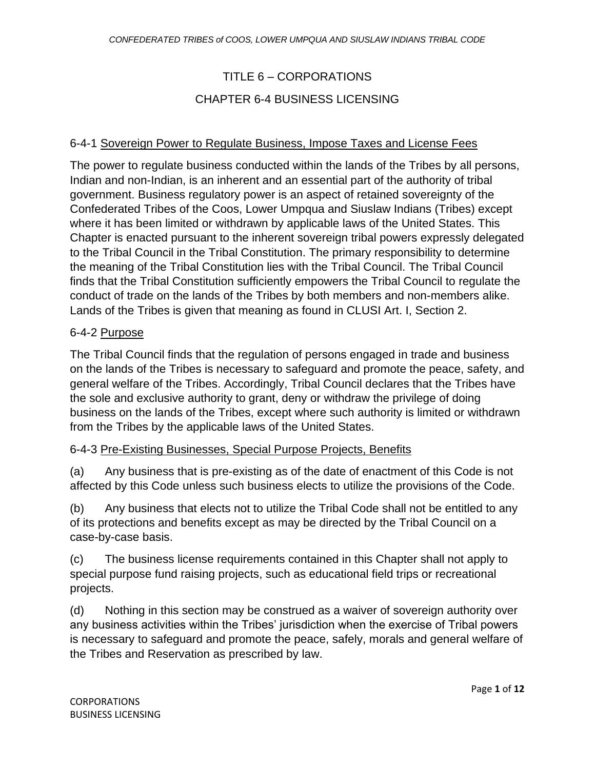# TITLE 6 – CORPORATIONS

# CHAPTER 6-4 BUSINESS LICENSING

# 6-4-1 Sovereign Power to Regulate Business, Impose Taxes and License Fees

The power to regulate business conducted within the lands of the Tribes by all persons, Indian and non-Indian, is an inherent and an essential part of the authority of tribal government. Business regulatory power is an aspect of retained sovereignty of the Confederated Tribes of the Coos, Lower Umpqua and Siuslaw Indians (Tribes) except where it has been limited or withdrawn by applicable laws of the United States. This Chapter is enacted pursuant to the inherent sovereign tribal powers expressly delegated to the Tribal Council in the Tribal Constitution. The primary responsibility to determine the meaning of the Tribal Constitution lies with the Tribal Council. The Tribal Council finds that the Tribal Constitution sufficiently empowers the Tribal Council to regulate the conduct of trade on the lands of the Tribes by both members and non-members alike. Lands of the Tribes is given that meaning as found in CLUSI Art. I, Section 2.

#### 6-4-2 Purpose

The Tribal Council finds that the regulation of persons engaged in trade and business on the lands of the Tribes is necessary to safeguard and promote the peace, safety, and general welfare of the Tribes. Accordingly, Tribal Council declares that the Tribes have the sole and exclusive authority to grant, deny or withdraw the privilege of doing business on the lands of the Tribes, except where such authority is limited or withdrawn from the Tribes by the applicable laws of the United States.

#### 6-4-3 Pre-Existing Businesses, Special Purpose Projects, Benefits

(a) Any business that is pre-existing as of the date of enactment of this Code is not affected by this Code unless such business elects to utilize the provisions of the Code.

(b) Any business that elects not to utilize the Tribal Code shall not be entitled to any of its protections and benefits except as may be directed by the Tribal Council on a case-by-case basis.

(c) The business license requirements contained in this Chapter shall not apply to special purpose fund raising projects, such as educational field trips or recreational projects.

(d) Nothing in this section may be construed as a waiver of sovereign authority over any business activities within the Tribes' jurisdiction when the exercise of Tribal powers is necessary to safeguard and promote the peace, safely, morals and general welfare of the Tribes and Reservation as prescribed by law.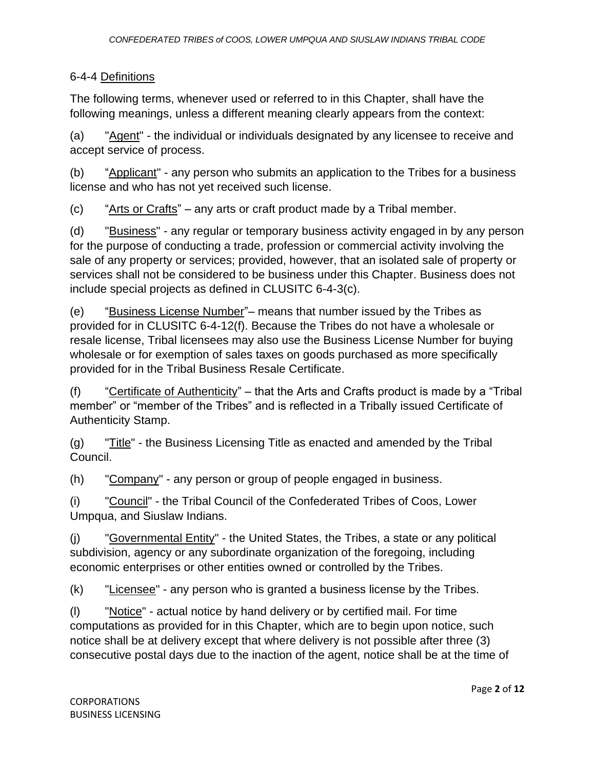# 6-4-4 Definitions

The following terms, whenever used or referred to in this Chapter, shall have the following meanings, unless a different meaning clearly appears from the context:

(a) "Agent" - the individual or individuals designated by any licensee to receive and accept service of process.

(b) "Applicant" - any person who submits an application to the Tribes for a business license and who has not yet received such license.

(c) "Arts or Crafts" – any arts or craft product made by a Tribal member.

(d) "Business" - any regular or temporary business activity engaged in by any person for the purpose of conducting a trade, profession or commercial activity involving the sale of any property or services; provided, however, that an isolated sale of property or services shall not be considered to be business under this Chapter. Business does not include special projects as defined in CLUSITC 6-4-3(c).

(e) "Business License Number"– means that number issued by the Tribes as provided for in CLUSITC 6-4-12(f). Because the Tribes do not have a wholesale or resale license, Tribal licensees may also use the Business License Number for buying wholesale or for exemption of sales taxes on goods purchased as more specifically provided for in the Tribal Business Resale Certificate.

(f) "Certificate of Authenticity" – that the Arts and Crafts product is made by a "Tribal" member" or "member of the Tribes" and is reflected in a Tribally issued Certificate of Authenticity Stamp.

(g) "Title" - the Business Licensing Title as enacted and amended by the Tribal Council.

(h) "Company" - any person or group of people engaged in business.

(i) "Council" - the Tribal Council of the Confederated Tribes of Coos, Lower Umpqua, and Siuslaw Indians.

(j) "Governmental Entity" - the United States, the Tribes, a state or any political subdivision, agency or any subordinate organization of the foregoing, including economic enterprises or other entities owned or controlled by the Tribes.

(k) "Licensee" - any person who is granted a business license by the Tribes.

(l) "Notice" - actual notice by hand delivery or by certified mail. For time computations as provided for in this Chapter, which are to begin upon notice, such notice shall be at delivery except that where delivery is not possible after three (3) consecutive postal days due to the inaction of the agent, notice shall be at the time of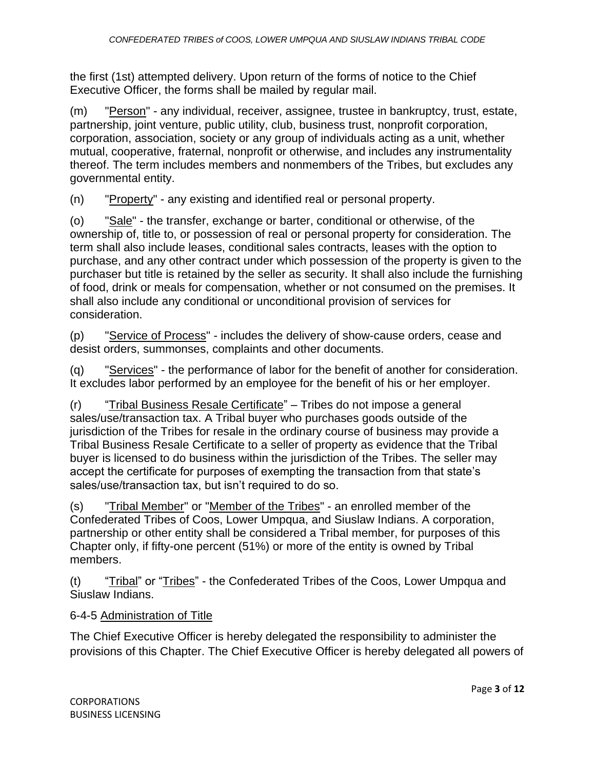the first (1st) attempted delivery. Upon return of the forms of notice to the Chief Executive Officer, the forms shall be mailed by regular mail.

(m) "Person" - any individual, receiver, assignee, trustee in bankruptcy, trust, estate, partnership, joint venture, public utility, club, business trust, nonprofit corporation, corporation, association, society or any group of individuals acting as a unit, whether mutual, cooperative, fraternal, nonprofit or otherwise, and includes any instrumentality thereof. The term includes members and nonmembers of the Tribes, but excludes any governmental entity.

(n) "Property" - any existing and identified real or personal property.

(o) "Sale" - the transfer, exchange or barter, conditional or otherwise, of the ownership of, title to, or possession of real or personal property for consideration. The term shall also include leases, conditional sales contracts, leases with the option to purchase, and any other contract under which possession of the property is given to the purchaser but title is retained by the seller as security. It shall also include the furnishing of food, drink or meals for compensation, whether or not consumed on the premises. It shall also include any conditional or unconditional provision of services for consideration.

(p) "Service of Process" - includes the delivery of show-cause orders, cease and desist orders, summonses, complaints and other documents.

(q) "Services" - the performance of labor for the benefit of another for consideration. It excludes labor performed by an employee for the benefit of his or her employer.

(r) "Tribal Business Resale Certificate" – Tribes do not impose a general sales/use/transaction tax. A Tribal buyer who purchases goods outside of the jurisdiction of the Tribes for resale in the ordinary course of business may provide a Tribal Business Resale Certificate to a seller of property as evidence that the Tribal buyer is licensed to do business within the jurisdiction of the Tribes. The seller may accept the certificate for purposes of exempting the transaction from that state's sales/use/transaction tax, but isn't required to do so.

(s) "Tribal Member" or "Member of the Tribes" - an enrolled member of the Confederated Tribes of Coos, Lower Umpqua, and Siuslaw Indians. A corporation, partnership or other entity shall be considered a Tribal member, for purposes of this Chapter only, if fifty-one percent (51%) or more of the entity is owned by Tribal members.

(t) "Tribal" or "Tribes" - the Confederated Tribes of the Coos, Lower Umpqua and Siuslaw Indians.

# 6-4-5 Administration of Title

The Chief Executive Officer is hereby delegated the responsibility to administer the provisions of this Chapter. The Chief Executive Officer is hereby delegated all powers of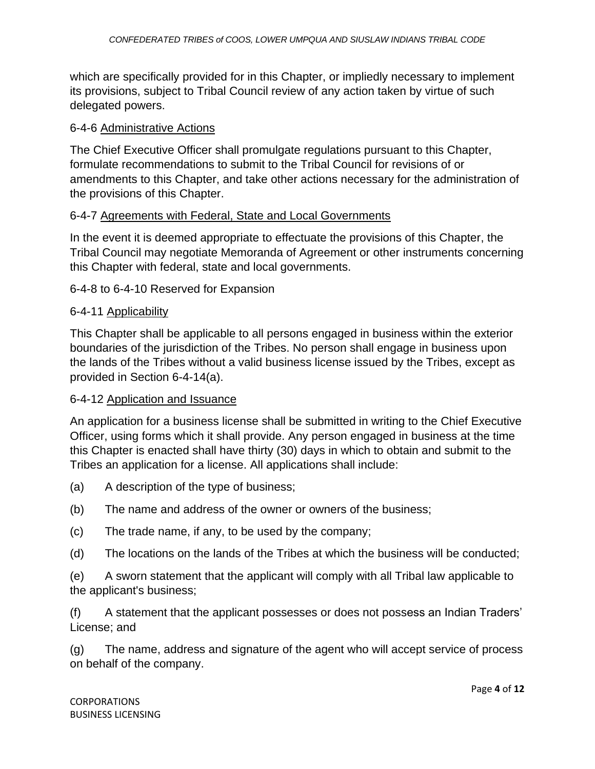which are specifically provided for in this Chapter, or impliedly necessary to implement its provisions, subject to Tribal Council review of any action taken by virtue of such delegated powers.

#### 6-4-6 Administrative Actions

The Chief Executive Officer shall promulgate regulations pursuant to this Chapter, formulate recommendations to submit to the Tribal Council for revisions of or amendments to this Chapter, and take other actions necessary for the administration of the provisions of this Chapter.

#### 6-4-7 Agreements with Federal, State and Local Governments

In the event it is deemed appropriate to effectuate the provisions of this Chapter, the Tribal Council may negotiate Memoranda of Agreement or other instruments concerning this Chapter with federal, state and local governments.

#### 6-4-8 to 6-4-10 Reserved for Expansion

#### 6-4-11 Applicability

This Chapter shall be applicable to all persons engaged in business within the exterior boundaries of the jurisdiction of the Tribes. No person shall engage in business upon the lands of the Tribes without a valid business license issued by the Tribes, except as provided in Section 6-4-14(a).

#### 6-4-12 Application and Issuance

An application for a business license shall be submitted in writing to the Chief Executive Officer, using forms which it shall provide. Any person engaged in business at the time this Chapter is enacted shall have thirty (30) days in which to obtain and submit to the Tribes an application for a license. All applications shall include:

- (a) A description of the type of business;
- (b) The name and address of the owner or owners of the business;
- (c) The trade name, if any, to be used by the company;
- (d) The locations on the lands of the Tribes at which the business will be conducted;

(e) A sworn statement that the applicant will comply with all Tribal law applicable to the applicant's business;

(f) A statement that the applicant possesses or does not possess an Indian Traders' License; and

(g) The name, address and signature of the agent who will accept service of process on behalf of the company.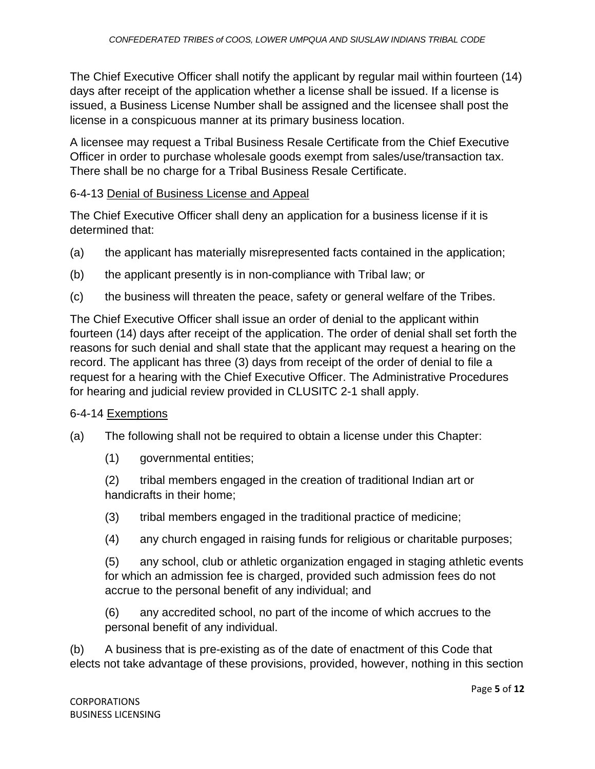The Chief Executive Officer shall notify the applicant by regular mail within fourteen (14) days after receipt of the application whether a license shall be issued. If a license is issued, a Business License Number shall be assigned and the licensee shall post the license in a conspicuous manner at its primary business location.

A licensee may request a Tribal Business Resale Certificate from the Chief Executive Officer in order to purchase wholesale goods exempt from sales/use/transaction tax. There shall be no charge for a Tribal Business Resale Certificate.

#### 6-4-13 Denial of Business License and Appeal

The Chief Executive Officer shall deny an application for a business license if it is determined that:

- (a) the applicant has materially misrepresented facts contained in the application;
- (b) the applicant presently is in non-compliance with Tribal law; or
- (c) the business will threaten the peace, safety or general welfare of the Tribes.

The Chief Executive Officer shall issue an order of denial to the applicant within fourteen (14) days after receipt of the application. The order of denial shall set forth the reasons for such denial and shall state that the applicant may request a hearing on the record. The applicant has three (3) days from receipt of the order of denial to file a request for a hearing with the Chief Executive Officer. The Administrative Procedures for hearing and judicial review provided in CLUSITC 2-1 shall apply.

#### 6-4-14 Exemptions

- (a) The following shall not be required to obtain a license under this Chapter:
	- (1) governmental entities;

(2) tribal members engaged in the creation of traditional Indian art or handicrafts in their home;

- (3) tribal members engaged in the traditional practice of medicine;
- (4) any church engaged in raising funds for religious or charitable purposes;

(5) any school, club or athletic organization engaged in staging athletic events for which an admission fee is charged, provided such admission fees do not accrue to the personal benefit of any individual; and

(6) any accredited school, no part of the income of which accrues to the personal benefit of any individual.

(b) A business that is pre-existing as of the date of enactment of this Code that elects not take advantage of these provisions, provided, however, nothing in this section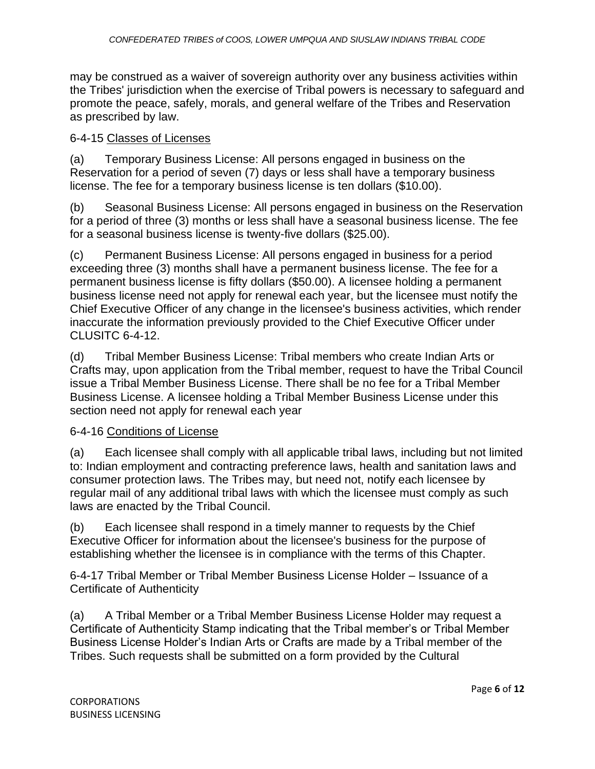may be construed as a waiver of sovereign authority over any business activities within the Tribes' jurisdiction when the exercise of Tribal powers is necessary to safeguard and promote the peace, safely, morals, and general welfare of the Tribes and Reservation as prescribed by law.

#### 6-4-15 Classes of Licenses

(a) Temporary Business License: All persons engaged in business on the Reservation for a period of seven (7) days or less shall have a temporary business license. The fee for a temporary business license is ten dollars (\$10.00).

(b) Seasonal Business License: All persons engaged in business on the Reservation for a period of three (3) months or less shall have a seasonal business license. The fee for a seasonal business license is twenty-five dollars (\$25.00).

(c) Permanent Business License: All persons engaged in business for a period exceeding three (3) months shall have a permanent business license. The fee for a permanent business license is fifty dollars (\$50.00). A licensee holding a permanent business license need not apply for renewal each year, but the licensee must notify the Chief Executive Officer of any change in the licensee's business activities, which render inaccurate the information previously provided to the Chief Executive Officer under CLUSITC 6-4-12.

(d) Tribal Member Business License: Tribal members who create Indian Arts or Crafts may, upon application from the Tribal member, request to have the Tribal Council issue a Tribal Member Business License. There shall be no fee for a Tribal Member Business License. A licensee holding a Tribal Member Business License under this section need not apply for renewal each year

# 6-4-16 Conditions of License

(a) Each licensee shall comply with all applicable tribal laws, including but not limited to: Indian employment and contracting preference laws, health and sanitation laws and consumer protection laws. The Tribes may, but need not, notify each licensee by regular mail of any additional tribal laws with which the licensee must comply as such laws are enacted by the Tribal Council.

(b) Each licensee shall respond in a timely manner to requests by the Chief Executive Officer for information about the licensee's business for the purpose of establishing whether the licensee is in compliance with the terms of this Chapter.

6-4-17 Tribal Member or Tribal Member Business License Holder – Issuance of a Certificate of Authenticity

(a) A Tribal Member or a Tribal Member Business License Holder may request a Certificate of Authenticity Stamp indicating that the Tribal member's or Tribal Member Business License Holder's Indian Arts or Crafts are made by a Tribal member of the Tribes. Such requests shall be submitted on a form provided by the Cultural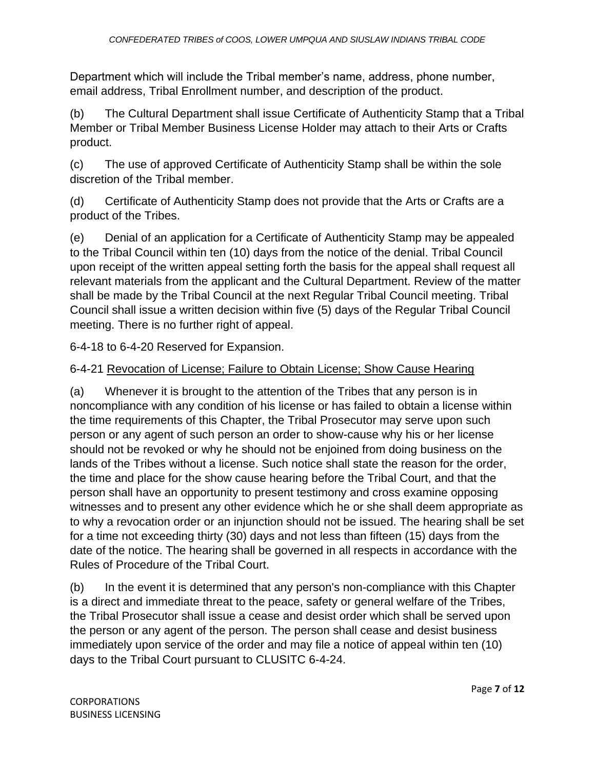Department which will include the Tribal member's name, address, phone number, email address, Tribal Enrollment number, and description of the product.

(b) The Cultural Department shall issue Certificate of Authenticity Stamp that a Tribal Member or Tribal Member Business License Holder may attach to their Arts or Crafts product.

(c) The use of approved Certificate of Authenticity Stamp shall be within the sole discretion of the Tribal member.

(d) Certificate of Authenticity Stamp does not provide that the Arts or Crafts are a product of the Tribes.

(e) Denial of an application for a Certificate of Authenticity Stamp may be appealed to the Tribal Council within ten (10) days from the notice of the denial. Tribal Council upon receipt of the written appeal setting forth the basis for the appeal shall request all relevant materials from the applicant and the Cultural Department. Review of the matter shall be made by the Tribal Council at the next Regular Tribal Council meeting. Tribal Council shall issue a written decision within five (5) days of the Regular Tribal Council meeting. There is no further right of appeal.

6-4-18 to 6-4-20 Reserved for Expansion.

# 6-4-21 Revocation of License; Failure to Obtain License; Show Cause Hearing

(a) Whenever it is brought to the attention of the Tribes that any person is in noncompliance with any condition of his license or has failed to obtain a license within the time requirements of this Chapter, the Tribal Prosecutor may serve upon such person or any agent of such person an order to show-cause why his or her license should not be revoked or why he should not be enjoined from doing business on the lands of the Tribes without a license. Such notice shall state the reason for the order, the time and place for the show cause hearing before the Tribal Court, and that the person shall have an opportunity to present testimony and cross examine opposing witnesses and to present any other evidence which he or she shall deem appropriate as to why a revocation order or an injunction should not be issued. The hearing shall be set for a time not exceeding thirty (30) days and not less than fifteen (15) days from the date of the notice. The hearing shall be governed in all respects in accordance with the Rules of Procedure of the Tribal Court.

(b) In the event it is determined that any person's non-compliance with this Chapter is a direct and immediate threat to the peace, safety or general welfare of the Tribes, the Tribal Prosecutor shall issue a cease and desist order which shall be served upon the person or any agent of the person. The person shall cease and desist business immediately upon service of the order and may file a notice of appeal within ten (10) days to the Tribal Court pursuant to CLUSITC 6-4-24.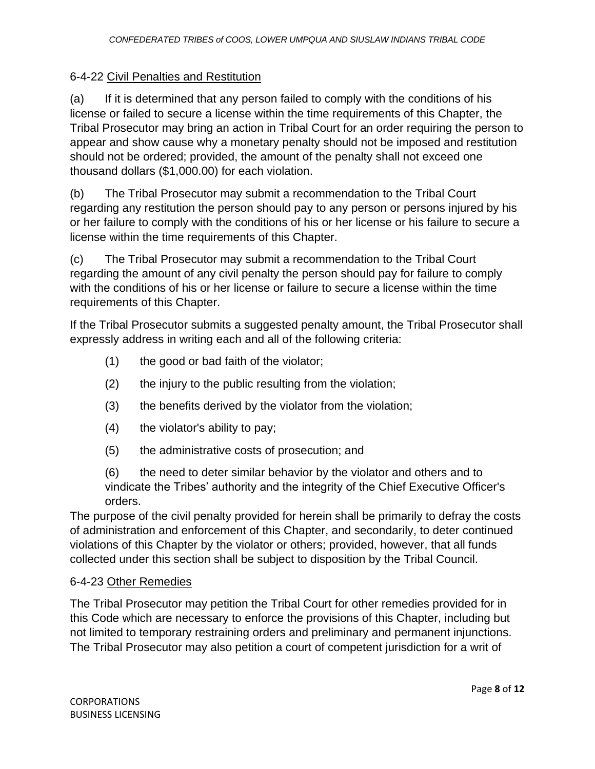# 6-4-22 Civil Penalties and Restitution

(a) If it is determined that any person failed to comply with the conditions of his license or failed to secure a license within the time requirements of this Chapter, the Tribal Prosecutor may bring an action in Tribal Court for an order requiring the person to appear and show cause why a monetary penalty should not be imposed and restitution should not be ordered; provided, the amount of the penalty shall not exceed one thousand dollars (\$1,000.00) for each violation.

(b) The Tribal Prosecutor may submit a recommendation to the Tribal Court regarding any restitution the person should pay to any person or persons injured by his or her failure to comply with the conditions of his or her license or his failure to secure a license within the time requirements of this Chapter.

(c) The Tribal Prosecutor may submit a recommendation to the Tribal Court regarding the amount of any civil penalty the person should pay for failure to comply with the conditions of his or her license or failure to secure a license within the time requirements of this Chapter.

If the Tribal Prosecutor submits a suggested penalty amount, the Tribal Prosecutor shall expressly address in writing each and all of the following criteria:

- (1) the good or bad faith of the violator;
- (2) the injury to the public resulting from the violation;
- (3) the benefits derived by the violator from the violation;
- (4) the violator's ability to pay;
- (5) the administrative costs of prosecution; and

(6) the need to deter similar behavior by the violator and others and to vindicate the Tribes' authority and the integrity of the Chief Executive Officer's orders.

The purpose of the civil penalty provided for herein shall be primarily to defray the costs of administration and enforcement of this Chapter, and secondarily, to deter continued violations of this Chapter by the violator or others; provided, however, that all funds collected under this section shall be subject to disposition by the Tribal Council.

# 6-4-23 Other Remedies

The Tribal Prosecutor may petition the Tribal Court for other remedies provided for in this Code which are necessary to enforce the provisions of this Chapter, including but not limited to temporary restraining orders and preliminary and permanent injunctions. The Tribal Prosecutor may also petition a court of competent jurisdiction for a writ of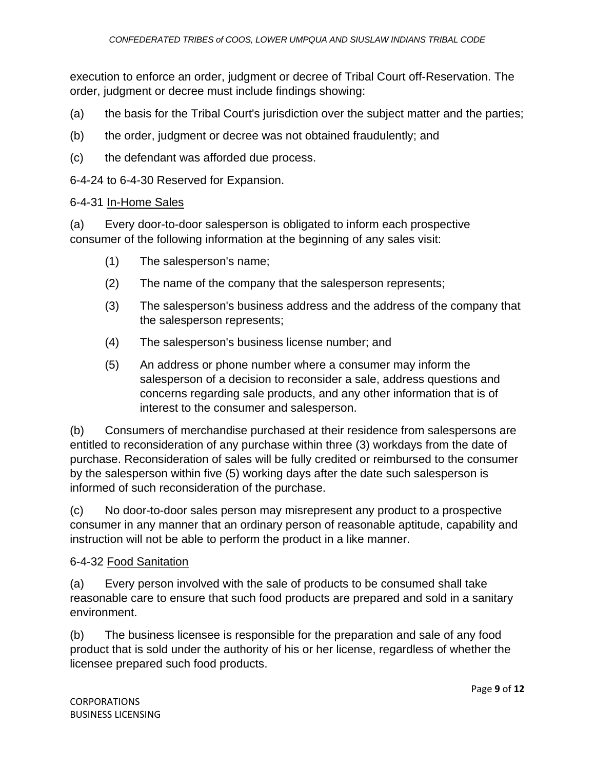execution to enforce an order, judgment or decree of Tribal Court off-Reservation. The order, judgment or decree must include findings showing:

- (a) the basis for the Tribal Court's jurisdiction over the subject matter and the parties;
- (b) the order, judgment or decree was not obtained fraudulently; and
- (c) the defendant was afforded due process.

6-4-24 to 6-4-30 Reserved for Expansion.

#### 6-4-31 In-Home Sales

(a) Every door-to-door salesperson is obligated to inform each prospective consumer of the following information at the beginning of any sales visit:

- (1) The salesperson's name;
- (2) The name of the company that the salesperson represents;
- (3) The salesperson's business address and the address of the company that the salesperson represents;
- (4) The salesperson's business license number; and
- (5) An address or phone number where a consumer may inform the salesperson of a decision to reconsider a sale, address questions and concerns regarding sale products, and any other information that is of interest to the consumer and salesperson.

(b) Consumers of merchandise purchased at their residence from salespersons are entitled to reconsideration of any purchase within three (3) workdays from the date of purchase. Reconsideration of sales will be fully credited or reimbursed to the consumer by the salesperson within five (5) working days after the date such salesperson is informed of such reconsideration of the purchase.

(c) No door-to-door sales person may misrepresent any product to a prospective consumer in any manner that an ordinary person of reasonable aptitude, capability and instruction will not be able to perform the product in a like manner.

#### 6-4-32 Food Sanitation

(a) Every person involved with the sale of products to be consumed shall take reasonable care to ensure that such food products are prepared and sold in a sanitary environment.

(b) The business licensee is responsible for the preparation and sale of any food product that is sold under the authority of his or her license, regardless of whether the licensee prepared such food products.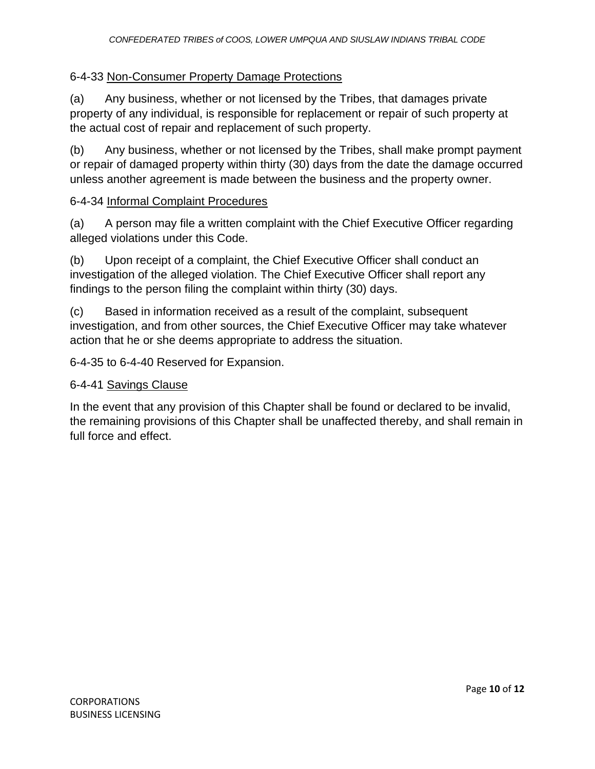## 6-4-33 Non-Consumer Property Damage Protections

(a) Any business, whether or not licensed by the Tribes, that damages private property of any individual, is responsible for replacement or repair of such property at the actual cost of repair and replacement of such property.

(b) Any business, whether or not licensed by the Tribes, shall make prompt payment or repair of damaged property within thirty (30) days from the date the damage occurred unless another agreement is made between the business and the property owner.

#### 6-4-34 Informal Complaint Procedures

(a) A person may file a written complaint with the Chief Executive Officer regarding alleged violations under this Code.

(b) Upon receipt of a complaint, the Chief Executive Officer shall conduct an investigation of the alleged violation. The Chief Executive Officer shall report any findings to the person filing the complaint within thirty (30) days.

(c) Based in information received as a result of the complaint, subsequent investigation, and from other sources, the Chief Executive Officer may take whatever action that he or she deems appropriate to address the situation.

6-4-35 to 6-4-40 Reserved for Expansion.

#### 6-4-41 Savings Clause

In the event that any provision of this Chapter shall be found or declared to be invalid, the remaining provisions of this Chapter shall be unaffected thereby, and shall remain in full force and effect.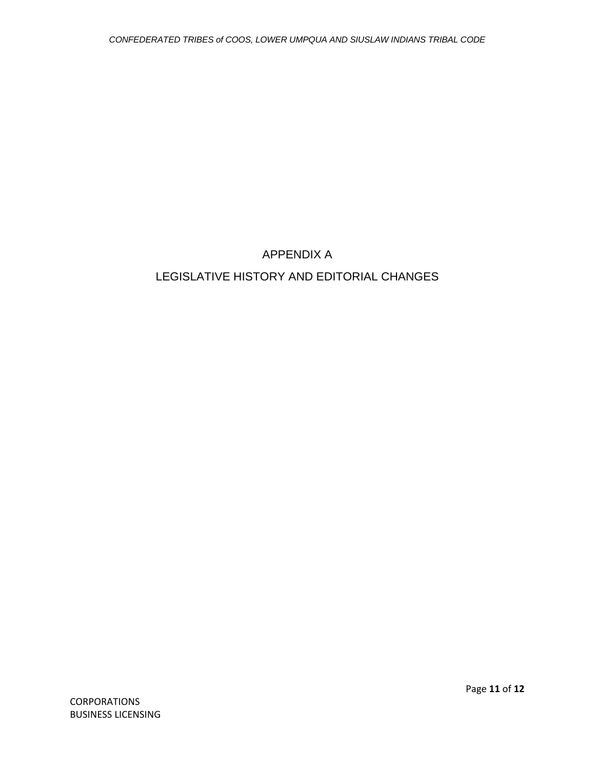# APPENDIX A LEGISLATIVE HISTORY AND EDITORIAL CHANGES